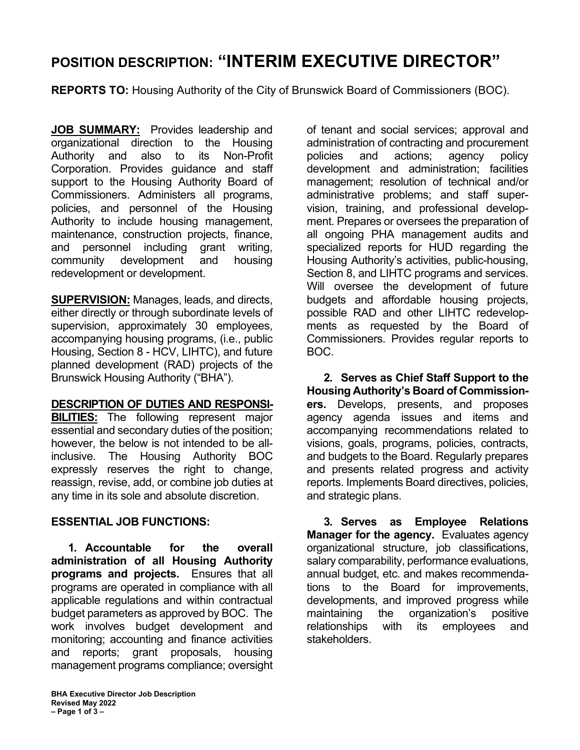## **POSITION DESCRIPTION: "INTERIM EXECUTIVE DIRECTOR"**

**REPORTS TO:** Housing Authority of the City of Brunswick Board of Commissioners (BOC).

**JOB SUMMARY:** Provides leadership and organizational direction to the Housing Authority and also to its Non-Profit Corporation. Provides guidance and staff support to the Housing Authority Board of Commissioners. Administers all programs, policies, and personnel of the Housing Authority to include housing management, maintenance, construction projects, finance, and personnel including grant writing, community development and housing redevelopment or development.

**SUPERVISION:** Manages, leads, and directs, either directly or through subordinate levels of supervision, approximately 30 employees, accompanying housing programs, (i.e., public Housing, Section 8 - HCV, LIHTC), and future planned development (RAD) projects of the Brunswick Housing Authority ("BHA").

## **DESCRIPTION OF DUTIES AND RESPONSI-**

**BILITIES:** The following represent major essential and secondary duties of the position; however, the below is not intended to be allinclusive. The Housing Authority BOC expressly reserves the right to change, reassign, revise, add, or combine job duties at any time in its sole and absolute discretion.

## **ESSENTIAL JOB FUNCTIONS:**

**1. Accountable for the overall administration of all Housing Authority programs and projects.** Ensures that all programs are operated in compliance with all applicable regulations and within contractual budget parameters as approved by BOC. The work involves budget development and monitoring; accounting and finance activities and reports; grant proposals, housing management programs compliance; oversight of tenant and social services; approval and administration of contracting and procurement policies and actions; agency policy development and administration; facilities management; resolution of technical and/or administrative problems; and staff supervision, training, and professional development. Prepares or oversees the preparation of all ongoing PHA management audits and specialized reports for HUD regarding the Housing Authority's activities, public-housing, Section 8, and LIHTC programs and services. Will oversee the development of future budgets and affordable housing projects, possible RAD and other LIHTC redevelopments as requested by the Board of Commissioners. Provides regular reports to BOC.

**2. Serves as Chief Staff Support to the Housing Authority's Board of Commissioners.** Develops, presents, and proposes agency agenda issues and items and accompanying recommendations related to visions, goals, programs, policies, contracts, and budgets to the Board. Regularly prepares and presents related progress and activity reports. Implements Board directives, policies, and strategic plans.

**3. Serves as Employee Relations Manager for the agency.** Evaluates agency organizational structure, job classifications, salary comparability, performance evaluations, annual budget, etc. and makes recommendations to the Board for improvements, developments, and improved progress while maintaining the organization's positive relationships with its employees and stakeholders.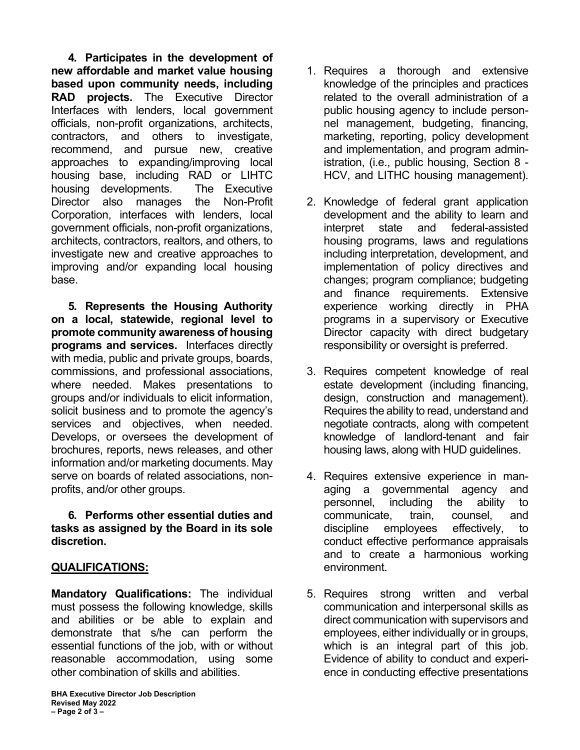**4. Participates in the development of new affordable and market value housing based upon community needs, including RAD projects.** The Executive Director Interfaces with lenders, local government officials, non-profit organizations, architects, contractors, and others to investigate, recommend, and pursue new, creative approaches to expanding/improving local housing base, including RAD or LIHTC housing developments. The Executive Director also manages the Non-Profit Corporation, interfaces with lenders, local government officials, non-profit organizations, architects, contractors, realtors, and others, to investigate new and creative approaches to improving and/or expanding local housing base.

**5. Represents the Housing Authority on a local, statewide, regional level to promote community awareness of housing programs and services.** Interfaces directly with media, public and private groups, boards, commissions, and professional associations, where needed. Makes presentations to groups and/or individuals to elicit information, solicit business and to promote the agency's services and objectives, when needed. Develops, or oversees the development of brochures, reports, news releases, and other information and/or marketing documents. May serve on boards of related associations, nonprofits, and/or other groups.

**6. Performs other essential duties and tasks as assigned by the Board in its sole discretion.**

## **QUALIFICATIONS:**

**Mandatory Qualifications:** The individual must possess the following knowledge, skills and abilities or be able to explain and demonstrate that s/he can perform the essential functions of the job, with or without reasonable accommodation, using some other combination of skills and abilities.

- 1. Requires a thorough and extensive knowledge of the principles and practices related to the overall administration of a public housing agency to include personnel management, budgeting, financing, marketing, reporting, policy development and implementation, and program administration, (i.e., public housing, Section 8 - HCV, and LITHC housing management).
- 2. Knowledge of federal grant application development and the ability to learn and interpret state and federal-assisted housing programs, laws and regulations including interpretation, development, and implementation of policy directives and changes; program compliance; budgeting and finance requirements. Extensive experience working directly in PHA programs in a supervisory or Executive Director capacity with direct budgetary responsibility or oversight is preferred.
- 3. Requires competent knowledge of real estate development (including financing, design, construction and management). Requires the ability to read, understand and negotiate contracts, along with competent knowledge of landlord-tenant and fair housing laws, along with HUD guidelines.
- 4. Requires extensive experience in managing a governmental agency and personnel, including the ability to communicate, train, counsel, and discipline employees effectively, to conduct effective performance appraisals and to create a harmonious working environment.
- 5. Requires strong written and verbal communication and interpersonal skills as direct communication with supervisors and employees, either individually or in groups, which is an integral part of this job. Evidence of ability to conduct and experience in conducting effective presentations